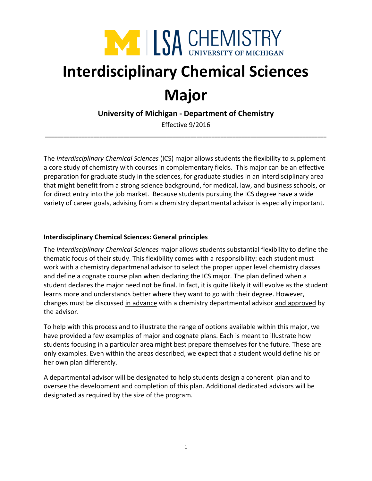

# **Interdisciplinary Chemical Sciences**

## **Major**

**University of Michigan - Department of Chemistry**

Effective 9/2016 **\_\_\_\_\_\_\_\_\_\_\_\_\_\_\_\_\_\_\_\_\_\_\_\_\_\_\_\_\_\_\_\_\_\_\_\_\_\_\_\_\_\_\_\_\_\_\_\_\_\_\_\_\_\_\_\_\_\_\_\_\_\_\_\_\_\_\_\_\_\_\_\_\_\_\_\_\_\_\_\_\_\_\_\_\_\_\_\_\_\_\_\_\_**

The *Interdisciplinary Chemical Sciences* (ICS) major allows students the flexibility to supplement a core study of chemistry with courses in complementary fields. This major can be an effective preparation for graduate study in the sciences, for graduate studies in an interdisciplinary area that might benefit from a strong science background, for medical, law, and business schools, or for direct entry into the job market. Because students pursuing the ICS degree have a wide variety of career goals, advising from a chemistry departmental advisor is especially important.

### **Interdisciplinary Chemical Sciences: General principles**

The *Interdisciplinary Chemical Sciences* major allows students substantial flexibility to define the thematic focus of their study. This flexibility comes with a responsibility: each student must work with a chemistry departmenal advisor to select the proper upper level chemistry classes and define a cognate course plan when declaring the ICS major. The plan defined when a student declares the major need not be final. In fact, it is quite likely it will evolve as the student learns more and understands better where they want to go with their degree. However, changes must be discussed in advance with a chemistry departmental advisor and approved by the advisor.

To help with this process and to illustrate the range of options available within this major, we have provided a few examples of major and cognate plans. Each is meant to illustrate how students focusing in a particular area might best prepare themselves for the future. These are only examples. Even within the areas described, we expect that a student would define his or her own plan differently.

A departmental advisor will be designated to help students design a coherent plan and to oversee the development and completion of this plan. Additional dedicated advisors will be designated as required by the size of the program.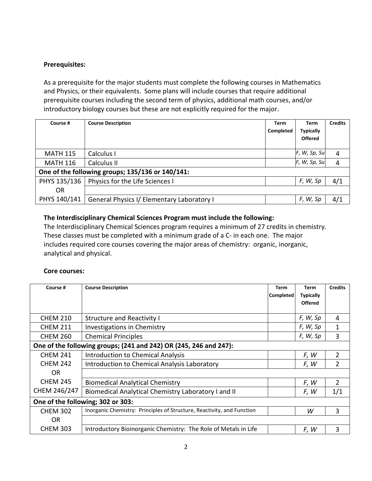#### **Prerequisites:**

As a prerequisite for the major students must complete the following courses in Mathematics and Physics, or their equivalents. Some plans will include courses that require additional prerequisite courses including the second term of physics, additional math courses, and/or introductory biology courses but these are not explicitly required for the major.

| Course #                                         | <b>Course Description</b>                  | <b>Term</b><br>Completed | Term<br><b>Typically</b><br><b>Offered</b> | <b>Credits</b> |  |  |  |
|--------------------------------------------------|--------------------------------------------|--------------------------|--------------------------------------------|----------------|--|--|--|
| <b>MATH 115</b>                                  | Calculus I                                 |                          | F, W, Sp, Su                               | 4              |  |  |  |
| <b>MATH 116</b>                                  | Calculus II                                |                          | F, W, Sp, Su                               | 4              |  |  |  |
| One of the following groups; 135/136 or 140/141: |                                            |                          |                                            |                |  |  |  |
| PHYS 135/136                                     | Physics for the Life Sciences I            |                          | F, W, Sp                                   | 4/1            |  |  |  |
| OR                                               |                                            |                          |                                            |                |  |  |  |
| PHYS 140/141                                     | General Physics I/ Elementary Laboratory I |                          | F, W, Sp                                   | 4/1            |  |  |  |

#### **The Interdisciplinary Chemical Sciences Program must include the following:**

The Interdisciplinary Chemical Sciences program requires a minimum of 27 credits in chemistry. These classes must be completed with a minimum grade of a C- in each one. The major includes required core courses covering the major areas of chemistry: organic, inorganic, analytical and physical.

#### **Core courses:**

| Course #                                                          | <b>Course Description</b>                                              | Term      | Term             | <b>Credits</b> |  |  |
|-------------------------------------------------------------------|------------------------------------------------------------------------|-----------|------------------|----------------|--|--|
|                                                                   |                                                                        | Completed | <b>Typically</b> |                |  |  |
|                                                                   |                                                                        |           | <b>Offered</b>   |                |  |  |
|                                                                   |                                                                        |           |                  |                |  |  |
| <b>CHEM 210</b>                                                   | <b>Structure and Reactivity I</b>                                      |           | F, W, Sp         | 4              |  |  |
| <b>CHEM 211</b>                                                   | Investigations in Chemistry                                            |           | F, W, Sp         | 1              |  |  |
| <b>CHEM 260</b>                                                   | <b>Chemical Principles</b>                                             |           | F, W, Sp         | 3              |  |  |
| One of the following groups; (241 and 242) OR (245, 246 and 247): |                                                                        |           |                  |                |  |  |
| <b>CHEM 241</b>                                                   | <b>Introduction to Chemical Analysis</b>                               |           | F, W             | $\overline{2}$ |  |  |
| <b>CHEM 242</b>                                                   | Introduction to Chemical Analysis Laboratory                           |           | F, W             | $\overline{2}$ |  |  |
| 0R                                                                |                                                                        |           |                  |                |  |  |
| <b>CHEM 245</b>                                                   | <b>Biomedical Analytical Chemistry</b>                                 |           | F, W             | $\overline{2}$ |  |  |
| CHEM 246/247                                                      | Biomedical Analytical Chemistry Laboratory I and II                    |           | F, W             | 1/1            |  |  |
| One of the following; 302 or 303:                                 |                                                                        |           |                  |                |  |  |
| <b>CHEM 302</b>                                                   | Inorganic Chemistry: Principles of Structure, Reactivity, and Function |           | W                | 3              |  |  |
| <b>OR</b>                                                         |                                                                        |           |                  |                |  |  |
| <b>CHEM 303</b>                                                   | Introductory Bioinorganic Chemistry: The Role of Metals in Life        |           | F, W             | 3              |  |  |